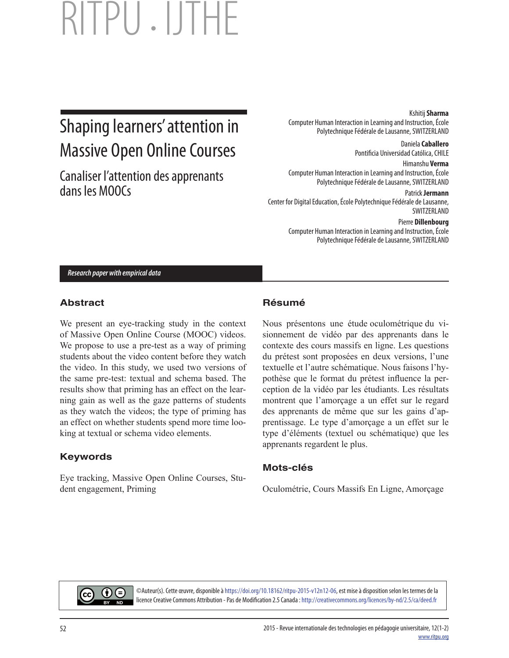# Shaping learners' attention in Massive Open Online Courses

Canaliser l'attention des apprenants dans les MOOCs

Kshitij **Sharma**

Computer Human Interaction in Learning and Instruction, École Polytechnique Fédérale de Lausanne, SWITZERLAND

> Daniela **Caballero** Pontificia Universidad Católica, CHILE

Himanshu **Verma** Computer Human Interaction in Learning and Instruction, École Polytechnique Fédérale de Lausanne, SWITZERLAND

Patrick **Jermann** Center for Digital Education, École Polytechnique Fédérale de Lausanne, SWITZERLAND

> Pierre **Dillenbourg** Computer Human Interaction in Learning and Instruction, École Polytechnique Fédérale de Lausanne, SWITZERLAND

*Research paper with empirical data*

### **Abstract**

We present an eye-tracking study in the context of Massive Open Online Course (MOOC) videos. We propose to use a pre-test as a way of priming students about the video content before they watch the video. In this study, we used two versions of the same pre-test: textual and schema based. The results show that priming has an effect on the learning gain as well as the gaze patterns of students as they watch the videos; the type of priming has an effect on whether students spend more time looking at textual or schema video elements.

## **Keywords**

Eye tracking, Massive Open Online Courses, Student engagement, Priming

## **Résumé**

Nous présentons une étude oculométrique du visionnement de vidéo par des apprenants dans le contexte des cours massifs en ligne. Les questions du prétest sont proposées en deux versions, l'une textuelle et l'autre schématique. Nous faisons l'hypothèse que le format du prétest influence la perception de la vidéo par les étudiants. Les résultats montrent que l'amorçage a un effet sur le regard des apprenants de même que sur les gains d'apprentissage. Le type d'amorçage a un effet sur le type d'éléments (textuel ou schématique) que les apprenants regardent le plus.

### **Mots-clés**

Oculométrie, Cours Massifs En Ligne, Amorçage



©Auteur(s). Cette œuvre, disponible à https://doi.org/10.18162/ritpu-2015-v12n12-06, est mise à disposition selon les termes de la licence Creative Commons Attribution - Pas de Modification 2.5 Canada : http://creativecommons.org/licences/by-nd/2.5/ca/deed.fr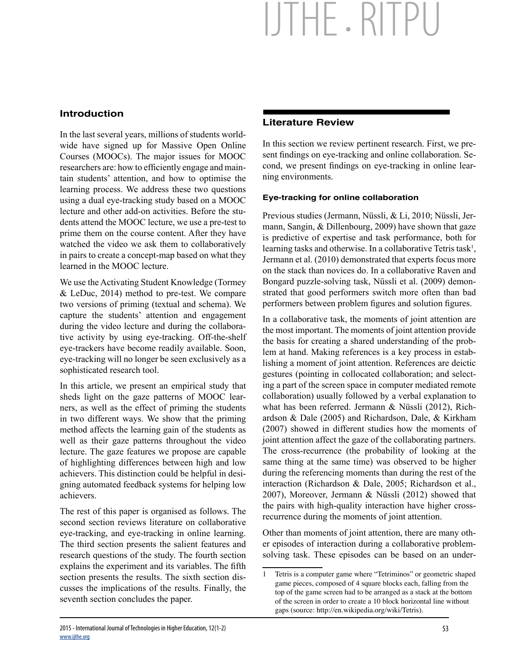### **Introduction**

In the last several years, millions of students worldwide have signed up for Massive Open Online Courses (MOOCs). The major issues for MOOC researchers are: how to efficiently engage and maintain students' attention, and how to optimise the learning process. We address these two questions using a dual eye-tracking study based on a MOOC lecture and other add-on activities. Before the students attend the MOOC lecture, we use a pre-test to prime them on the course content. After they have watched the video we ask them to collaboratively in pairs to create a concept-map based on what they learned in the MOOC lecture.

We use the Activating Student Knowledge (Tormey  $&$  LeDuc, 2014) method to pre-test. We compare two versions of priming (textual and schema). We capture the students' attention and engagement during the video lecture and during the collaborative activity by using eye-tracking. Off-the-shelf eye-trackers have become readily available. Soon, eye-tracking will no longer be seen exclusively as a sophisticated research tool.

In this article, we present an empirical study that sheds light on the gaze patterns of MOOC learners, as well as the effect of priming the students in two different ways. We show that the priming method affects the learning gain of the students as well as their gaze patterns throughout the video lecture. The gaze features we propose are capable of highlighting differences between high and low achievers. This distinction could be helpful in designing automated feedback systems for helping low achievers.

The rest of this paper is organised as follows. The second section reviews literature on collaborative eye-tracking, and eye-tracking in online learning. The third section presents the salient features and research questions of the study. The fourth section explains the experiment and its variables. The fifth section presents the results. The sixth section discusses the implications of the results. Finally, the seventh section concludes the paper.

### **Literature Review**

In this section we review pertinent research. First, we present findings on eye-tracking and online collaboration. Second, we present findings on eye-tracking in online learning environments.

#### **Eye-tracking for online collaboration**

Previous studies (Jermann, Nüssli, & Li, 2010; Nüssli, Jermann, Sangin, & Dillenbourg, 2009) have shown that gaze is predictive of expertise and task performance, both for learning tasks and otherwise. In a collaborative Tetris task<sup>1</sup>, Jermann et al. (2010) demonstrated that experts focus more on the stack than novices do. In a collaborative Raven and Bongard puzzle-solving task, Nüssli et al. (2009) demonstrated that good performers switch more often than bad performers between problem figures and solution figures.

In a collaborative task, the moments of joint attention are the most important. The moments of joint attention provide the basis for creating a shared understanding of the problem at hand. Making references is a key process in establishing a moment of joint attention. References are deictic gestures (pointing in collocated collaboration; and selecting a part of the screen space in computer mediated remote collaboration) usually followed by a verbal explanation to what has been referred. Jermann & Nüssli (2012), Richardson & Dale (2005) and Richardson, Dale, & Kirkham (2007) showed in different studies how the moments of joint attention affect the gaze of the collaborating partners. The cross-recurrence (the probability of looking at the same thing at the same time) was observed to be higher during the referencing moments than during the rest of the interaction (Richardson & Dale, 2005; Richardson et al., 2007), Moreover, Jermann & Nüssli (2012) showed that the pairs with high-quality interaction have higher crossrecurrence during the moments of joint attention.

Other than moments of joint attention, there are many other episodes of interaction during a collaborative problemsolving task. These episodes can be based on an under-

<sup>1</sup> Tetris is a computer game where "Tetriminos" or geometric shaped game pieces, composed of 4 square blocks each, falling from the top of the game screen had to be arranged as a stack at the bottom of the screen in order to create a 10 block horizontal line without gaps (source: [http://en.wikipedia.org/wiki/Tetris\).](http://en.wikipedia.org/wiki/Tetris)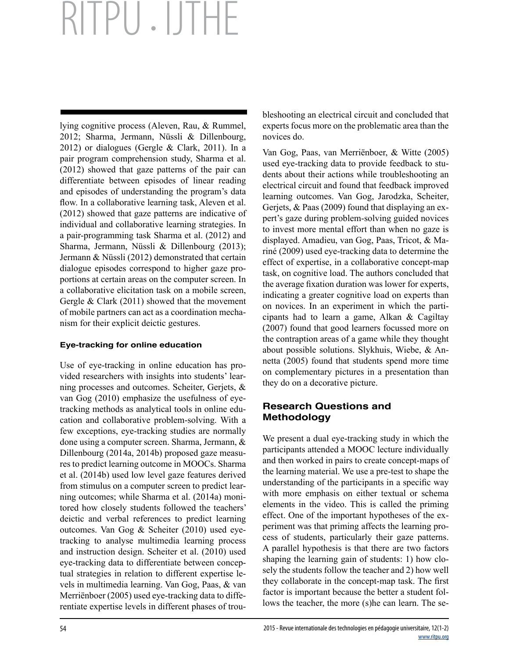lying cognitive process (Aleven, Rau, & Rummel, 2012; Sharma, Jermann, Nüssli & Dillenbourg, 2012) or dialogues (Gergle & Clark, 2011). In a pair program comprehension study, Sharma et al. (2012) showed that gaze patterns of the pair can differentiate between episodes of linear reading and episodes of understanding the program's data flow. In a collaborative learning task, Aleven et al. (2012) showed that gaze patterns are indicative of individual and collaborative learning strategies. In a pair-programming task Sharma et al. (2012) and Sharma, Jermann, Nüssli & Dillenbourg (2013); Jermann & Nüssli (2012) demonstrated that certain dialogue episodes correspond to higher gaze proportions at certain areas on the computer screen. In a collaborative elicitation task on a mobile screen, Gergle & Clark (2011) showed that the movement of mobile partners can act as a coordination mechanism for their explicit deictic gestures.

#### **Eye-tracking for online education**

Use of eye-tracking in online education has provided researchers with insights into students' learning processes and outcomes. Scheiter, Gerjets, & van Gog (2010) emphasize the usefulness of eyetracking methods as analytical tools in online education and collaborative problem-solving. With a few exceptions, eye-tracking studies are normally done using a computer screen. Sharma, Jermann, & Dillenbourg (2014a, 2014b) proposed gaze measures to predict learning outcome in MOOCs. Sharma et al. (2014b) used low level gaze features derived from stimulus on a computer screen to predict learning outcomes; while Sharma et al. (2014a) monitored how closely students followed the teachers' deictic and verbal references to predict learning outcomes. Van Gog & Scheiter (2010) used eyetracking to analyse multimedia learning process and instruction design. Scheiter et al. (2010) used eye-tracking data to differentiate between conceptual strategies in relation to different expertise levels in multimedia learning. Van Gog, Paas, & van Merriënboer (2005) used eye-tracking data to differentiate expertise levels in different phases of troubleshooting an electrical circuit and concluded that experts focus more on the problematic area than the novices do.

Van Gog, Paas, van Merriënboer, & Witte (2005) used eye-tracking data to provide feedback to students about their actions while troubleshooting an electrical circuit and found that feedback improved learning outcomes. Van Gog, Jarodzka, Scheiter, Gerjets, & Paas (2009) found that displaying an expert's gaze during problem-solving guided novices to invest more mental effort than when no gaze is displayed. Amadieu, van Gog, Paas, Tricot, & Mariné (2009) used eye-tracking data to determine the effect of expertise, in a collaborative concept-map task, on cognitive load. The authors concluded that the average fixation duration was lower for experts, indicating a greater cognitive load on experts than on novices. In an experiment in which the participants had to learn a game, Alkan & Cagiltay (2007) found that good learners focussed more on the contraption areas of a game while they thought about possible solutions. Slykhuis, Wiebe, & Annetta (2005) found that students spend more time on complementary pictures in a presentation than they do on a decorative picture.

### **Research Questions and Methodology**

We present a dual eye-tracking study in which the participants attended a MOOC lecture individually and then worked in pairs to create concept-maps of the learning material. We use a pre-test to shape the understanding of the participants in a specific way with more emphasis on either textual or schema elements in the video. This is called the priming effect. One of the important hypotheses of the experiment was that priming affects the learning process of students, particularly their gaze patterns. A parallel hypothesis is that there are two factors shaping the learning gain of students: 1) how closely the students follow the teacher and 2) how well they collaborate in the concept-map task. The first factor is important because the better a student follows the teacher, the more (s)he can learn. The se-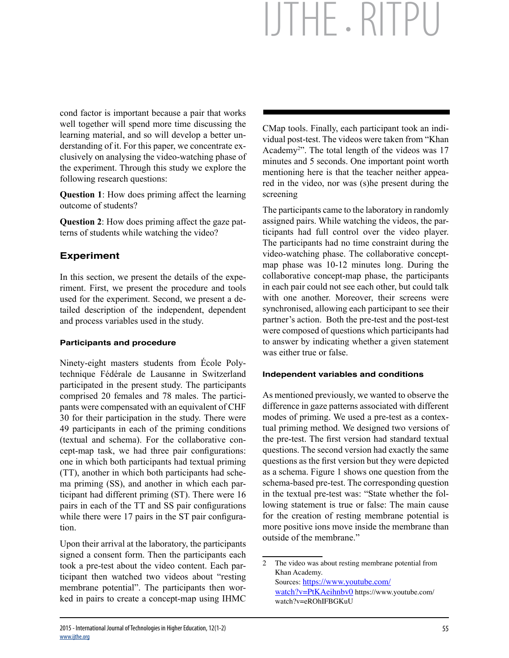cond factor is important because a pair that works well together will spend more time discussing the learning material, and so will develop a better understanding of it. For this paper, we concentrate exclusively on analysing the video-watching phase of the experiment. Through this study we explore the following research questions:

**Question 1**: How does priming affect the learning outcome of students?

**Question 2**: How does priming affect the gaze patterns of students while watching the video?

## **Experiment**

In this section, we present the details of the experiment. First, we present the procedure and tools used for the experiment. Second, we present a detailed description of the independent, dependent and process variables used in the study.

#### **Participants and procedure**

Ninety-eight masters students from École Polytechnique Fédérale de Lausanne in Switzerland participated in the present study. The participants comprised 20 females and 78 males. The participants were compensated with an equivalent of CHF 30 for their participation in the study. There were 49 participants in each of the priming conditions (textual and schema). For the collaborative concept-map task, we had three pair configurations: one in which both participants had textual priming (TT), another in which both participants had schema priming (SS), and another in which each participant had different priming (ST). There were 16 pairs in each of the TT and SS pair configurations while there were 17 pairs in the ST pair configuration.

Upon their arrival at the laboratory, the participants signed a consent form. Then the participants each took a pre-test about the video content. Each participant then watched two videos about "resting membrane potential". The participants then worked in pairs to create a concept-map using IHMC CMap tools. Finally, each participant took an individual post-test. The videos were taken from "Khan Academy<sup>2"</sup>. The total length of the videos was 17 minutes and 5 seconds. One important point worth mentioning here is that the teacher neither appeared in the video, nor was (s)he present during the screening

The participants came to the laboratory in randomly assigned pairs. While watching the videos, the participants had full control over the video player. The participants had no time constraint during the video-watching phase. The collaborative conceptmap phase was 10-12 minutes long. During the collaborative concept-map phase, the participants in each pair could not see each other, but could talk with one another. Moreover, their screens were synchronised, allowing each participant to see their partner's action. Both the pre-test and the post-test were composed of questions which participants had to answer by indicating whether a given statement was either true or false.

#### **Independent variables and conditions**

As mentioned previously, we wanted to observe the difference in gaze patterns associated with different modes of priming. We used a pre-test as a contextual priming method. We designed two versions of the pre-test. The first version had standard textual questions. The second version had exactly the same questions as the first version but they were depicted as a schema. Figure 1 shows one question from the schema-based pre-test. The corresponding question in the textual pre-test was: "State whether the following statement is true or false: The main cause for the creation of resting membrane potential is more positive ions move inside the membrane than outside of the membrane."

<sup>2</sup> The video was about resting membrane potential from Khan Academy. Sources:<https://www.youtube.com/> watch?v=PtKAeihnbv0<https://www.youtube.com/> watch?v=eROhIFBGKuU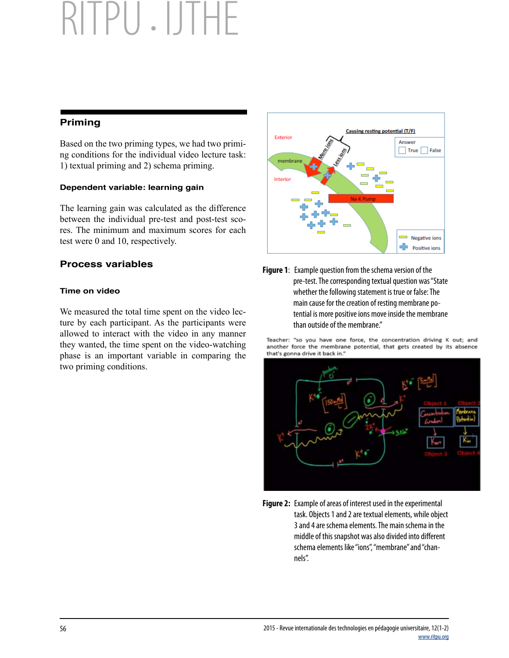### **Priming**

Based on the two priming types, we had two priming conditions for the individual video lecture task: 1) textual priming and 2) schema priming.

#### **Dependent variable: learning gain**

The learning gain was calculated as the difference between the individual pre-test and post-test scores. The minimum and maximum scores for each test were 0 and 10, respectively.

### **Process variables**

#### **Time on video**

We measured the total time spent on the video lecture by each participant. As the participants were allowed to interact with the video in any manner they wanted, the time spent on the video-watching phase is an important variable in comparing the two priming conditions.



**Figure 1**: Example question from the schema version of the pre-test. The corresponding textual question was "State whether the following statement is true or false: The main cause for the creation of resting membrane potential is more positive ions move inside the membrane than outside of the membrane."

Teacher: "so you have one force, the concentration driving K out; and another force the membrane potential, that gets created by its absence that's gonna drive it back in.'



**Figure 2:** Example of areas of interest used in the experimental task. Objects 1 and 2 are textual elements, while object 3 and 4 are schema elements. The main schema in the middle of this snapshot was also divided into different schema elements like "ions", "membrane" and "channels".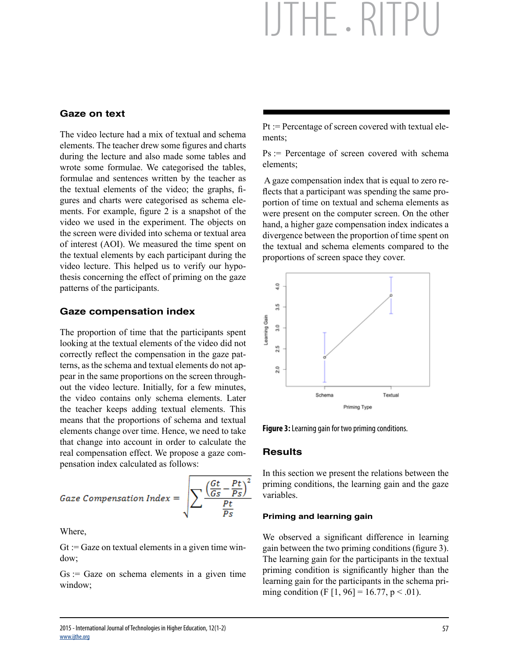#### **Gaze on text**

The video lecture had a mix of textual and schema elements. The teacher drew some figures and charts during the lecture and also made some tables and wrote some formulae. We categorised the tables, formulae and sentences written by the teacher as the textual elements of the video; the graphs, figures and charts were categorised as schema elements. For example, figure 2 is a snapshot of the video we used in the experiment. The objects on the screen were divided into schema or textual area of interest (AOI). We measured the time spent on the textual elements by each participant during the video lecture. This helped us to verify our hypothesis concerning the effect of priming on the gaze patterns of the participants.

#### **Gaze compensation index**

The proportion of time that the participants spent looking at the textual elements of the video did not correctly reflect the compensation in the gaze patterns, as the schema and textual elements do not appear in the same proportions on the screen throughout the video lecture. Initially, for a few minutes, the video contains only schema elements. Later the teacher keeps adding textual elements. This means that the proportions of schema and textual elements change over time. Hence, we need to take that change into account in order to calculate the real compensation effect. We propose a gaze compensation index calculated as follows:

Gaze Compensation Index = 
$$
\sqrt{\sum_{s} \frac{\left(\frac{Gt}{Gs} - \frac{Pt}{Ps}\right)^2}{\frac{Pt}{Ps}}}
$$

Where,

 $G_t$ : = Gaze on textual elements in a given time window;

 $Gs = Gaze$  on schema elements in a given time window;

Pt := Percentage of screen covered with textual elements;

 $Ps = Percentage of screen covered with schema$ elements;

 A gaze compensation index that is equal to zero reflects that a participant was spending the same proportion of time on textual and schema elements as were present on the computer screen. On the other hand, a higher gaze compensation index indicates a divergence between the proportion of time spent on the textual and schema elements compared to the proportions of screen space they cover.



**Figure 3:** Learning gain for two priming conditions.

#### **Results**

In this section we present the relations between the priming conditions, the learning gain and the gaze variables.

#### **Priming and learning gain**

We observed a significant difference in learning gain between the two priming conditions (figure 3). The learning gain for the participants in the textual priming condition is significantly higher than the learning gain for the participants in the schema priming condition (F  $[1, 96] = 16.77$ , p < .01).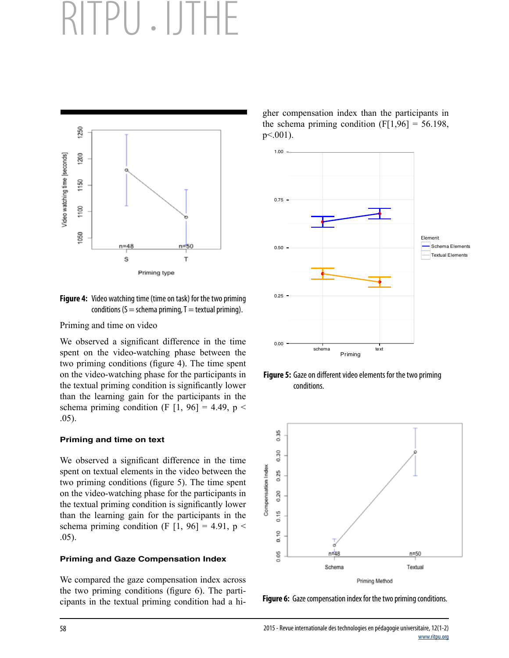

**Figure 4:** Video watching time (time on task) for the two priming conditions ( $S =$  schema priming,  $T =$  textual priming).

Priming and time on video

We observed a significant difference in the time spent on the video-watching phase between the two priming conditions (figure 4). The time spent on the video-watching phase for the participants in the textual priming condition is significantly lower than the learning gain for the participants in the schema priming condition (F  $[1, 96] = 4.49$ , p < .05).

#### **Priming and time on text**

We observed a significant difference in the time spent on textual elements in the video between the two priming conditions (figure 5). The time spent on the video-watching phase for the participants in the textual priming condition is significantly lower than the learning gain for the participants in the schema priming condition (F  $[1, 96] = 4.91$ , p < .05).

#### **Priming and Gaze Compensation Index**

We compared the gaze compensation index across the two priming conditions (figure 6). The participants in the textual priming condition had a higher compensation index than the participants in the schema priming condition  $(F[1,96] = 56.198)$ , p<.001).



**Figure 5:** Gaze on different video elements for the two priming conditions.



**Figure 6:** Gaze compensation index for the two priming conditions.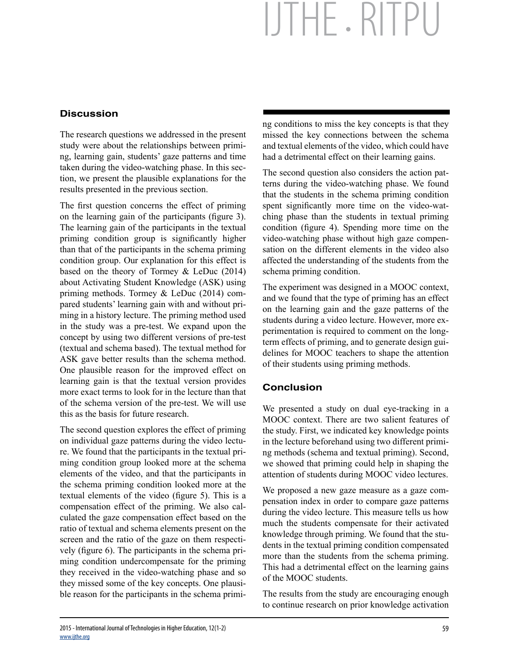# **Discussion**

The research questions we addressed in the present study were about the relationships between priming, learning gain, students' gaze patterns and time taken during the video-watching phase. In this section, we present the plausible explanations for the results presented in the previous section.

The first question concerns the effect of priming on the learning gain of the participants (figure 3). The learning gain of the participants in the textual priming condition group is significantly higher than that of the participants in the schema priming condition group. Our explanation for this effect is based on the theory of Tormey & LeDuc (2014) about Activating Student Knowledge (ASK) using priming methods. Tormey & LeDuc (2014) compared students' learning gain with and without priming in a history lecture. The priming method used in the study was a pre-test. We expand upon the concept by using two different versions of pre-test (textual and schema based). The textual method for ASK gave better results than the schema method. One plausible reason for the improved effect on learning gain is that the textual version provides more exact terms to look for in the lecture than that of the schema version of the pre-test. We will use this as the basis for future research.

The second question explores the effect of priming on individual gaze patterns during the video lecture. We found that the participants in the textual priming condition group looked more at the schema elements of the video, and that the participants in the schema priming condition looked more at the textual elements of the video (figure 5). This is a compensation effect of the priming. We also calculated the gaze compensation effect based on the ratio of textual and schema elements present on the screen and the ratio of the gaze on them respectively (figure 6). The participants in the schema priming condition undercompensate for the priming they received in the video-watching phase and so they missed some of the key concepts. One plausible reason for the participants in the schema priming conditions to miss the key concepts is that they missed the key connections between the schema and textual elements of the video, which could have had a detrimental effect on their learning gains.

The second question also considers the action patterns during the video-watching phase. We found that the students in the schema priming condition spent significantly more time on the video-watching phase than the students in textual priming condition (figure 4). Spending more time on the video-watching phase without high gaze compensation on the different elements in the video also affected the understanding of the students from the schema priming condition.

The experiment was designed in a MOOC context, and we found that the type of priming has an effect on the learning gain and the gaze patterns of the students during a video lecture. However, more experimentation is required to comment on the longterm effects of priming, and to generate design guidelines for MOOC teachers to shape the attention of their students using priming methods.

## **Conclusion**

We presented a study on dual eye-tracking in a MOOC context. There are two salient features of the study. First, we indicated key knowledge points in the lecture beforehand using two different priming methods (schema and textual priming). Second, we showed that priming could help in shaping the attention of students during MOOC video lectures.

We proposed a new gaze measure as a gaze compensation index in order to compare gaze patterns during the video lecture. This measure tells us how much the students compensate for their activated knowledge through priming. We found that the students in the textual priming condition compensated more than the students from the schema priming. This had a detrimental effect on the learning gains of the MOOC students.

The results from the study are encouraging enough to continue research on prior knowledge activation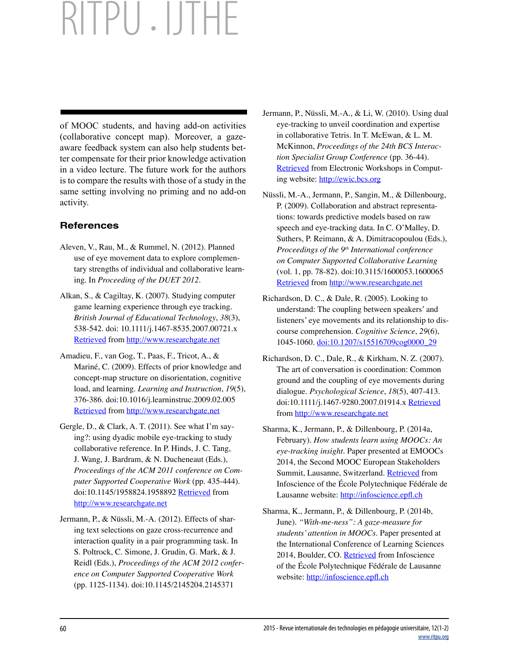of MOOC students, and having add-on activities (collaborative concept map). Moreover, a gazeaware feedback system can also help students better compensate for their prior knowledge activation in a video lecture. The future work for the authors is to compare the results with those of a study in the same setting involving no priming and no add-on activity.

# **References**

- Aleven, V., Rau, M., & Rummel, N. (2012). Planned use of eye movement data to explore complementary strengths of individual and collaborative learning. In *Proceeding of the DUET 2012*.
- Alkan, S., & Cagiltay, K. (2007). Studying computer game learning experience through eye tracking. *British Journal of Educational Technology*, *38*(3), 538-542. doi: 10.1111/j.1467-8535.2007.00721.x [Retrieved](http://www.researchgate.net/publication/228009466_Studying_computer_game_learning_experience_through_eye_tracking) from<http://www.researchgate.net>
- Amadieu, F., van Gog, T., Paas, F., Tricot, A., & Mariné, C. (2009). Effects of prior knowledge and concept-map structure on disorientation, cognitive load, and learning. *Learning and Instruction*, *19*(5), 376-386. doi:10.1016/j.learninstruc.2009.02.005 [Retrieved](http://www.researchgate.net/publication/237458556_Effects_of_prior_knowledge_and_concept-map_structure_on_disorientation_cognitive_load_and_learning) from<http://www.researchgate.net>
- Gergle, D., & Clark, A. T. (2011). See what I'm saying?: using dyadic mobile eye-tracking to study collaborative reference. In P. Hinds, J. C. Tang, J. Wang, J. Bardram, & N. Ducheneaut (Eds.), *Proceedings of the ACM 2011 conference on Computer Supported Cooperative Work* (pp. 435-444). doi:10.1145/1958824.1958892 [Retrieved](http://www.researchgate.net/publication/220879316_See_what_i%27m_saying_using_Dyadic_Mobile_Eye_tracking_to_study_collaborative_reference) from <http://www.researchgate.net>
- Jermann, P., & Nüssli, M.-A. (2012). Effects of sharing text selections on gaze cross-recurrence and interaction quality in a pair programming task. In S. Poltrock, C. Simone, J. Grudin, G. Mark, & J. Reidl (Eds.), *Proceedings of the ACM 2012 conference on Computer Supported Cooperative Work* (pp. 1125-1134). doi:10.1145/2145204.2145371
- Jermann, P., Nüssli, M.-A., & Li, W. (2010). Using dual eye-tracking to unveil coordination and expertise in collaborative Tetris. In T. McEwan, & L. M. McKinnon, *Proceedings of the 24th BCS Interaction Specialist Group Conference* (pp. 36-44). [Retrieved](http://ewic.bcs.org/upload/pdf/ewic_hci10_paper4.pdf) from Electronic Workshops in Computing website:<http://ewic.bcs.org>
- Nüssli, M.-A., Jermann, P., Sangin, M., & Dillenbourg, P. (2009). Collaboration and abstract representations: towards predictive models based on raw speech and eye-tracking data. In C. O'Malley, D. Suthers, P. Reimann, & A. Dimitracopoulou (Eds.), *Proceedings of the 9th International conference on Computer Supported Collaborative Learning* (vol. 1, pp. 78-82). doi:10.3115/1600053.1600065 [Retrieved](http://www.researchgate.net/publication/41939756_Collaboration_and_abstract_representations_towards_predictive_models_based_on_raw_speech_and_eye-tracking_data) from<http://www.researchgate.net>
- Richardson, D. C., & Dale, R. (2005). Looking to understand: The coupling between speakers' and listeners' eye movements and its relationship to discourse comprehension. *Cognitive Science*, *29*(6), 1045-1060. [doi:10.1207/s15516709cog0000\\_29](http://dx.doi.org/10.1207/s15516709cog0000_29)
- Richardson, D. C., Dale, R., & Kirkham, N. Z. (2007). The art of conversation is coordination: Common ground and the coupling of eye movements during dialogue. *Psychological Science*, *18*(5), 407-413. doi:10.1111/j.1467-9280.2007.01914.x [Retrieved](http://www.researchgate.net/publication/6261410_The_art_of_conversation_is_coordination_Common_ground_and_the_coupling_of_eye_movements_during_dialogue_Research_article) from <http://www.researchgate.net>
- Sharma, K., Jermann, P., & Dillenbourg, P. (2014a, February). *How students learn using MOOCs: An eye-tracking insight*. Paper presented at EMOOCs 2014, the Second MOOC European Stakeholders Summit, Lausanne, Switzerland[. Retrieved](http://infoscience.epfl.ch/record/201916) from Infoscience of the École Polytechnique Fédérale de Lausanne website: [http://infoscience.epfl.c](http://infoscience.epfl.ch)h
- Sharma, K., Jermann, P., & Dillenbourg, P. (2014b, June). *"With-me-ness": A gaze-measure for students' attention in MOOCs*. Paper presented at the International Conference of Learning Sciences 2014, Boulder, CO[. Retrieved](http://infoscience.epfl.ch/record/201918) from Infoscience of the École Polytechnique Fédérale de Lausanne website: [http://infoscience.epfl.c](http://infoscience.epfl.ch)h